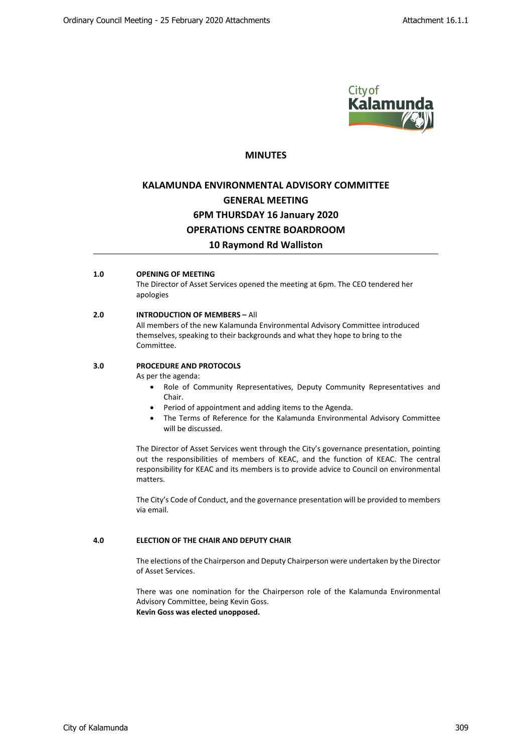

## **MINUTES**

# **KALAMUNDA ENVIRONMENTAL ADVISORY COMMITTEE GENERAL MEETING 6PM THURSDAY 16 January 2020 OPERATIONS CENTRE BOARDROOM 10 Raymond Rd Walliston**

## **1.0 OPENING OF MEETING**

The Director of Asset Services opened the meeting at 6pm. The CEO tendered her apologies

#### **2.0 INTRODUCTION OF MEMBERS –** All

All members of the new Kalamunda Environmental Advisory Committee introduced themselves, speaking to their backgrounds and what they hope to bring to the Committee.

## **3.0 PROCEDURE AND PROTOCOLS**

As per the agenda:

- Role of Community Representatives, Deputy Community Representatives and Chair.
- Period of appointment and adding items to the Agenda.
- The Terms of Reference for the Kalamunda Environmental Advisory Committee will be discussed.

The Director of Asset Services went through the City's governance presentation, pointing out the responsibilities of members of KEAC, and the function of KEAC. The central responsibility for KEAC and its members is to provide advice to Council on environmental matters.

The City's Code of Conduct, and the governance presentation will be provided to members via email.

## **4.0 ELECTION OF THE CHAIR AND DEPUTY CHAIR**

The elections of the Chairperson and Deputy Chairperson were undertaken by the Director of Asset Services.

There was one nomination for the Chairperson role of the Kalamunda Environmental Advisory Committee, being Kevin Goss. **Kevin Goss was elected unopposed.**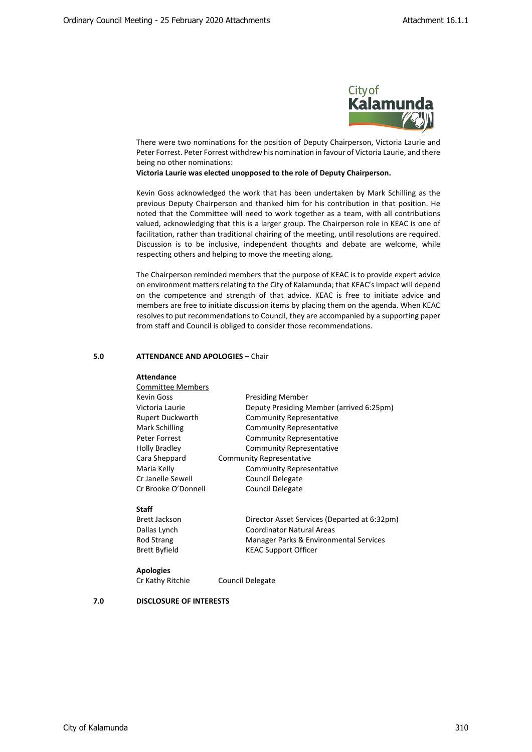

There were two nominations for the position of Deputy Chairperson, Victoria Laurie and Peter Forrest. Peter Forrest withdrew his nomination in favour of Victoria Laurie, and there being no other nominations:

**Victoria Laurie was elected unopposed to the role of Deputy Chairperson.**

Kevin Goss acknowledged the work that has been undertaken by Mark Schilling as the previous Deputy Chairperson and thanked him for his contribution in that position. He noted that the Committee will need to work together as a team, with all contributions valued, acknowledging that this is a larger group. The Chairperson role in KEAC is one of facilitation, rather than traditional chairing of the meeting, until resolutions are required. Discussion is to be inclusive, independent thoughts and debate are welcome, while respecting others and helping to move the meeting along.

The Chairperson reminded members that the purpose of KEAC is to provide expert advice on environment matters relating to the City of Kalamunda; that KEAC's impact will depend on the competence and strength of that advice. KEAC is free to initiate advice and members are free to initiate discussion items by placing them on the agenda. When KEAC resolves to put recommendations to Council, they are accompanied by a supporting paper from staff and Council is obliged to consider those recommendations.

## **5.0 ATTENDANCE AND APOLOGIES –** Chair

#### **Attendance**

| <b>Committee Members</b> |                                          |
|--------------------------|------------------------------------------|
| Kevin Goss               | <b>Presiding Member</b>                  |
| Victoria Laurie          | Deputy Presiding Member (arrived 6:25pm) |
| Rupert Duckworth         | <b>Community Representative</b>          |
| Mark Schilling           | <b>Community Representative</b>          |
| Peter Forrest            | <b>Community Representative</b>          |
| <b>Holly Bradley</b>     | <b>Community Representative</b>          |
| Cara Sheppard            | <b>Community Representative</b>          |
| Maria Kelly              | <b>Community Representative</b>          |
| Cr Janelle Sewell        | <b>Council Delegate</b>                  |
| Cr Brooke O'Donnell      | Council Delegate                         |
|                          |                                          |

#### **Staff**

Brett Jackson Director Asset Services (Departed at 6:32pm) Dallas Lynch Coordinator Natural Areas Rod Strang Manager Parks & Environmental Services Brett Byfield KEAC Support Officer

#### **Apologies**

Cr Kathy Ritchie Council Delegate

## **7.0 DISCLOSURE OF INTERESTS**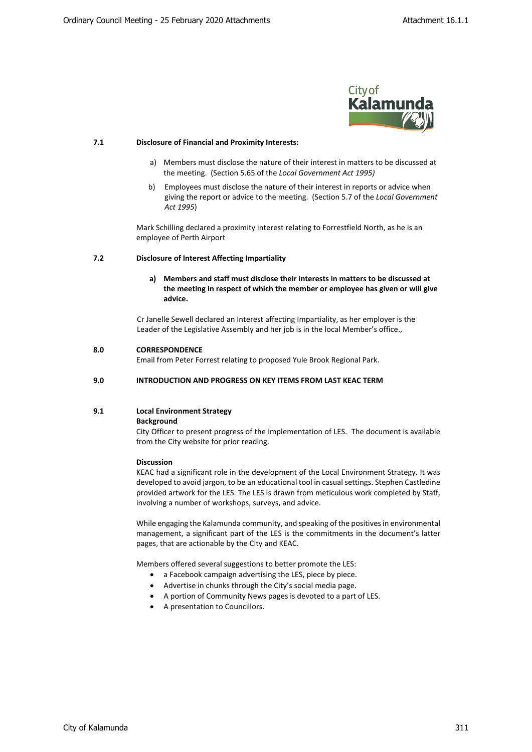

#### **7.1 Disclosure of Financial and Proximity Interests:**

- a) Members must disclose the nature of their interest in matters to be discussed at the meeting. (Section 5.65 of the *Local Government Act 1995)*
- b) Employees must disclose the nature of their interest in reports or advice when giving the report or advice to the meeting. (Section 5.7 of the *Local Government Act 1995*)

Mark Schilling declared a proximity interest relating to Forrestfield North, as he is an employee of Perth Airport

#### **7.2 Disclosure of Interest Affecting Impartiality**

**a) Members and staff must disclose their interests in matters to be discussed at the meeting in respect of which the member or employee has given or will give advice.**

Cr Janelle Sewell declared an Interest affecting Impartiality, as her employer is the Leader of the Legislative Assembly and her job is in the local Member's office.,

#### **8.0 CORRESPONDENCE**

Email from Peter Forrest relating to proposed Yule Brook Regional Park.

#### **9.0 INTRODUCTION AND PROGRESS ON KEY ITEMS FROM LAST KEAC TERM**

## **9.1 Local Environment Strategy**

#### **Background**

City Officer to present progress of the implementation of LES. The document is available from the City website for prior reading.

#### **Discussion**

KEAC had a significant role in the development of the Local Environment Strategy. It was developed to avoid jargon, to be an educational tool in casual settings. Stephen Castledine provided artwork for the LES. The LES is drawn from meticulous work completed by Staff, involving a number of workshops, surveys, and advice.

While engaging the Kalamunda community, and speaking of the positives in environmental management, a significant part of the LES is the commitments in the document's latter pages, that are actionable by the City and KEAC.

Members offered several suggestions to better promote the LES:

- a Facebook campaign advertising the LES, piece by piece.
- Advertise in chunks through the City's social media page.
- A portion of Community News pages is devoted to a part of LES.
- A presentation to Councillors.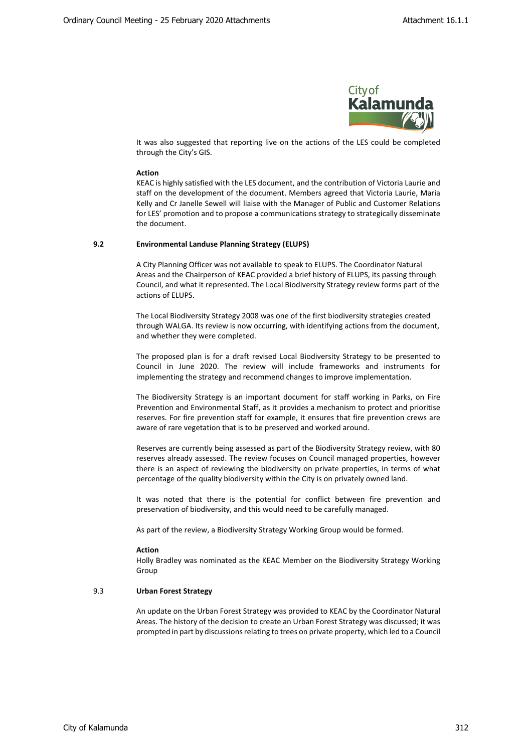

It was also suggested that reporting live on the actions of the LES could be completed through the City's GIS.

#### **Action**

KEAC is highly satisfied with the LES document, and the contribution of Victoria Laurie and staff on the development of the document. Members agreed that Victoria Laurie, Maria Kelly and Cr Janelle Sewell will liaise with the Manager of Public and Customer Relations for LES' promotion and to propose a communications strategy to strategically disseminate the document.

#### **9.2 Environmental Landuse Planning Strategy (ELUPS)**

A City Planning Officer was not available to speak to ELUPS. The Coordinator Natural Areas and the Chairperson of KEAC provided a brief history of ELUPS, its passing through Council, and what it represented. The Local Biodiversity Strategy review forms part of the actions of ELUPS.

The Local Biodiversity Strategy 2008 was one of the first biodiversity strategies created through WALGA. Its review is now occurring, with identifying actions from the document, and whether they were completed.

The proposed plan is for a draft revised Local Biodiversity Strategy to be presented to Council in June 2020. The review will include frameworks and instruments for implementing the strategy and recommend changes to improve implementation.

The Biodiversity Strategy is an important document for staff working in Parks, on Fire Prevention and Environmental Staff, as it provides a mechanism to protect and prioritise reserves. For fire prevention staff for example, it ensures that fire prevention crews are aware of rare vegetation that is to be preserved and worked around.

Reserves are currently being assessed as part of the Biodiversity Strategy review, with 80 reserves already assessed. The review focuses on Council managed properties, however there is an aspect of reviewing the biodiversity on private properties, in terms of what percentage of the quality biodiversity within the City is on privately owned land.

It was noted that there is the potential for conflict between fire prevention and preservation of biodiversity, and this would need to be carefully managed.

As part of the review, a Biodiversity Strategy Working Group would be formed.

#### **Action**

Holly Bradley was nominated as the KEAC Member on the Biodiversity Strategy Working Group

### 9.3 **Urban Forest Strategy**

An update on the Urban Forest Strategy was provided to KEAC by the Coordinator Natural Areas. The history of the decision to create an Urban Forest Strategy was discussed; it was prompted in part by discussions relating to trees on private property, which led to a Council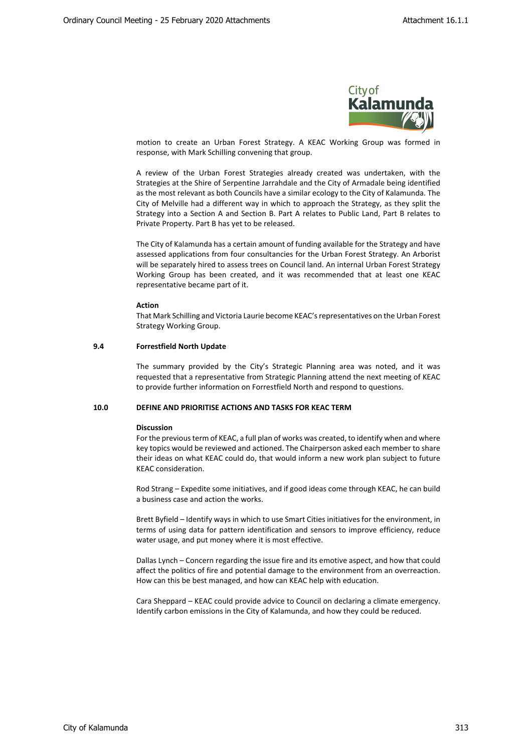

motion to create an Urban Forest Strategy. A KEAC Working Group was formed in response, with Mark Schilling convening that group.

A review of the Urban Forest Strategies already created was undertaken, with the Strategies at the Shire of Serpentine Jarrahdale and the City of Armadale being identified as the most relevant as both Councils have a similar ecology to the City of Kalamunda. The City of Melville had a different way in which to approach the Strategy, as they split the Strategy into a Section A and Section B. Part A relates to Public Land, Part B relates to Private Property. Part B has yet to be released.

The City of Kalamunda has a certain amount of funding available for the Strategy and have assessed applications from four consultancies for the Urban Forest Strategy. An Arborist will be separately hired to assess trees on Council land. An internal Urban Forest Strategy Working Group has been created, and it was recommended that at least one KEAC representative became part of it.

#### **Action**

That Mark Schilling and Victoria Laurie become KEAC's representatives on the Urban Forest Strategy Working Group.

#### **9.4 Forrestfield North Update**

The summary provided by the City's Strategic Planning area was noted, and it was requested that a representative from Strategic Planning attend the next meeting of KEAC to provide further information on Forrestfield North and respond to questions.

## **10.0 DEFINE AND PRIORITISE ACTIONS AND TASKS FOR KEAC TERM**

#### **Discussion**

For the previous term of KEAC, a full plan of works was created, to identify when and where key topics would be reviewed and actioned. The Chairperson asked each member to share their ideas on what KEAC could do, that would inform a new work plan subject to future KEAC consideration.

Rod Strang – Expedite some initiatives, and if good ideas come through KEAC, he can build a business case and action the works.

Brett Byfield – Identify ways in which to use Smart Cities initiatives for the environment, in terms of using data for pattern identification and sensors to improve efficiency, reduce water usage, and put money where it is most effective.

Dallas Lynch – Concern regarding the issue fire and its emotive aspect, and how that could affect the politics of fire and potential damage to the environment from an overreaction. How can this be best managed, and how can KEAC help with education.

Cara Sheppard – KEAC could provide advice to Council on declaring a climate emergency. Identify carbon emissions in the City of Kalamunda, and how they could be reduced.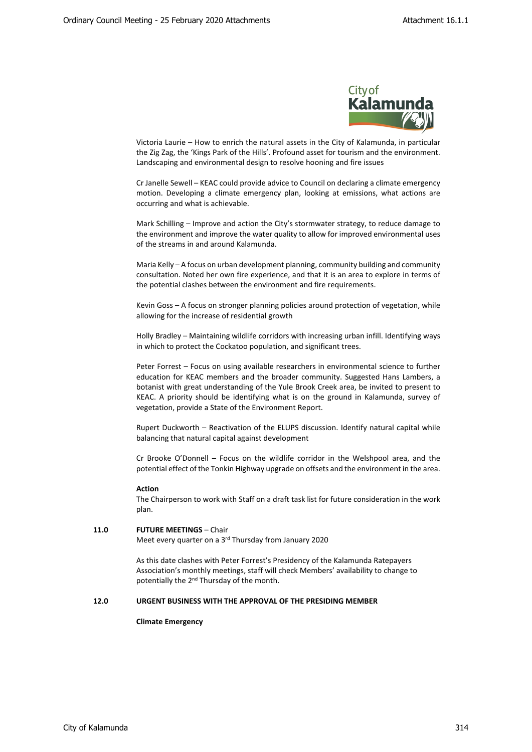

Victoria Laurie – How to enrich the natural assets in the City of Kalamunda, in particular the Zig Zag, the 'Kings Park of the Hills'. Profound asset for tourism and the environment. Landscaping and environmental design to resolve hooning and fire issues

Cr Janelle Sewell – KEAC could provide advice to Council on declaring a climate emergency motion. Developing a climate emergency plan, looking at emissions, what actions are occurring and what is achievable.

Mark Schilling – Improve and action the City's stormwater strategy, to reduce damage to the environment and improve the water quality to allow for improved environmental uses of the streams in and around Kalamunda.

Maria Kelly – A focus on urban development planning, community building and community consultation. Noted her own fire experience, and that it is an area to explore in terms of the potential clashes between the environment and fire requirements.

Kevin Goss – A focus on stronger planning policies around protection of vegetation, while allowing for the increase of residential growth

Holly Bradley – Maintaining wildlife corridors with increasing urban infill. Identifying ways in which to protect the Cockatoo population, and significant trees.

Peter Forrest – Focus on using available researchers in environmental science to further education for KEAC members and the broader community. Suggested Hans Lambers, a botanist with great understanding of the Yule Brook Creek area, be invited to present to KEAC. A priority should be identifying what is on the ground in Kalamunda, survey of vegetation, provide a State of the Environment Report.

Rupert Duckworth – Reactivation of the ELUPS discussion. Identify natural capital while balancing that natural capital against development

Cr Brooke O'Donnell – Focus on the wildlife corridor in the Welshpool area, and the potential effect of the Tonkin Highway upgrade on offsets and the environment in the area.

#### **Action**

The Chairperson to work with Staff on a draft task list for future consideration in the work plan.

### **11.0 FUTURE MEETINGS** – Chair Meet every quarter on a 3<sup>rd</sup> Thursday from January 2020

As this date clashes with Peter Forrest's Presidency of the Kalamunda Ratepayers

Association's monthly meetings, staff will check Members' availability to change to potentially the 2<sup>nd</sup> Thursday of the month.

#### **12.0 URGENT BUSINESS WITH THE APPROVAL OF THE PRESIDING MEMBER**

### **Climate Emergency**